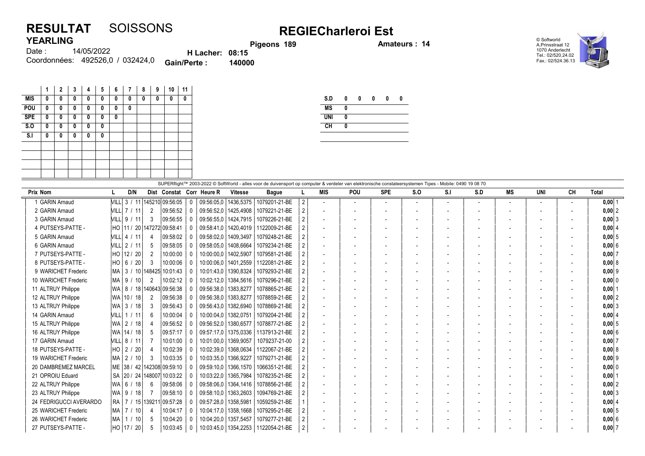## RESULTAT SOISSONS REGIECharleroi Est YEARLING

Pigeons 189 **Amateurs : 14** 

© Softworld A.Prinsstraat 12 1070 Anderlecht Tel.: 02/520.24.02 Fax.: 02/524.36.13



14/05/2022 Coordonnées: 492526,0 / 032424,0 **Gain/Perte : 140000** Date : H Lacher: 08:15<br>Perte : 140000

|            | 1 | $\mathbf{2}$ | 3 | 4 | 5 | 6 | $\overline{7}$ | 8 | 9 | 10 | 11 |
|------------|---|--------------|---|---|---|---|----------------|---|---|----|----|
| <b>MIS</b> | 0 | 0            | 0 | 0 | 0 | 0 | 0              | 0 | 0 | 0  | 0  |
| POU        | 0 | 0            | 0 | 0 | 0 | 0 | 0              |   |   |    |    |
| <b>SPE</b> | 0 | 0            | 0 | 0 | 0 | 0 |                |   |   |    |    |
| S.0        | 0 | 0            | 0 | 0 | 0 |   |                |   |   |    |    |
| S.I        | 0 | 0            | 0 | 0 | 0 |   |                |   |   |    |    |
|            |   |              |   |   |   |   |                |   |   |    |    |
|            |   |              |   |   |   |   |                |   |   |    |    |
|            |   |              |   |   |   |   |                |   |   |    |    |
|            |   |              |   |   |   |   |                |   |   |    |    |

| <b>MS</b>  |  |  |  |
|------------|--|--|--|
| <b>UNI</b> |  |  |  |
| CH         |  |  |  |

|                        |                    |                 |                |                                 |              |                           |                        | SUPERflight™ 2003-2022 © SoftWorld - alles voor de duivensport op computer & verdeler van elektronische constateersystemen Tipes - Mobile: 0490 19 08 70 |   |                          |                |                          |     |     |     |                          |                          |        |           |
|------------------------|--------------------|-----------------|----------------|---------------------------------|--------------|---------------------------|------------------------|----------------------------------------------------------------------------------------------------------------------------------------------------------|---|--------------------------|----------------|--------------------------|-----|-----|-----|--------------------------|--------------------------|--------|-----------|
| <b>Prix Nom</b>        |                    | D/N             |                |                                 |              | Dist Constat Corr Heure R | Vitesse                | <b>Bague</b>                                                                                                                                             |   | <b>MIS</b>               | <b>POU</b>     | <b>SPE</b>               | S.O | S.I | S.D | MS                       | UNI                      | CН     | Total     |
| <b>GARIN Arnaud</b>    |                    |                 |                | VILL 3 / 11 145210 09:56:05     | $\mathbf{0}$ |                           | 09:56:05.0   1436.5375 | 1079201-21-BE                                                                                                                                            | 2 |                          | $\overline{a}$ | $\overline{\phantom{a}}$ |     |     |     |                          | $\overline{\phantom{a}}$ | $\sim$ | $0,00$ 1  |
| 2 GARIN Arnaud         | <b>NILL 7 / 11</b> |                 | $\overline{2}$ | 09:56:52                        | $\Omega$     |                           | 09:56:52,0   1425,4908 | 1079221-21-BE                                                                                                                                            |   | $\overline{a}$           |                |                          |     |     |     |                          |                          |        | 0,00 2    |
| 3 GARIN Arnaud         |                    | VILL 9 / 11     | 3              | 09:56:55                        | $\mathbf{0}$ |                           | 09:56:55.0   1424.7915 | 1079226-21-BE                                                                                                                                            |   |                          |                |                          |     |     |     |                          |                          |        | $0,00$ 3  |
| 4 PUTSEYS-PATTE -      |                    |                 |                | HO   11 / 20   147272 09:58:41  | $\Omega$     |                           | 09:58:41,0   1420,4019 | 1122009-21-BE                                                                                                                                            |   | $\overline{\phantom{a}}$ |                |                          |     |     |     |                          |                          |        | $0,00$ 4  |
| 5 GARIN Arnaud         |                    | VILL 4 / 11     | 4              | 09:58:02                        | -0           | 09:58:02.0   1409.3497    |                        | 1079248-21-BE                                                                                                                                            |   | $\overline{\phantom{a}}$ |                |                          |     |     |     |                          |                          |        | 0,0015    |
| 6 GARIN Arnaud         |                    | VILL 2 / 11     | -5             | 09:58:05                        | $\Omega$     | 09:58:05.0   1408.6664    |                        | 1079234-21-BE                                                                                                                                            |   |                          |                |                          |     |     |     |                          |                          |        | 0,00 6    |
| 7 PUTSEYS-PATTE -      |                    | HO 12 / 20      | 2              | 10:00:00                        | - 0          | 10:00:00,0   1402,5907    |                        | 1079581-21-BE                                                                                                                                            |   | $\overline{\phantom{a}}$ |                |                          |     |     |     |                          |                          |        | $0.00$ 7  |
| 8 PUTSEYS-PATTE -      |                    | HO 6 / 20       | -3             | 10:00:06                        | $\mathbf{0}$ |                           | 10:00:06.0   1401.2559 | 1122081-21-BE                                                                                                                                            |   |                          |                |                          |     |     |     |                          |                          |        | 0.0018    |
| 9 WARICHET Frederic    |                    |                 |                | MA   3 / 10  148425  10:01:43   | $\Omega$     |                           | 10:01:43,0   1390,8324 | 1079293-21-BE                                                                                                                                            |   | $\overline{\phantom{a}}$ |                |                          |     |     |     |                          |                          |        | $0,00$ 9  |
| 10 WARICHET Frederic   | MA 9 /             | 10 <sup>1</sup> | 2              | 10:02:12                        | -0           |                           | 10:02:12,0   1384,5616 | 1079296-21-BE                                                                                                                                            |   |                          |                |                          |     |     |     |                          |                          |        | $0,00$ 0  |
| 11 ALTRUY Philippe     |                    |                 |                | WA   8 / 18  140643  09:56:38   |              | 09:56:38.0   1383.8277    |                        | 1078865-21-BE                                                                                                                                            |   |                          |                |                          |     |     |     |                          |                          |        | $0,00$  1 |
| 12 ALTRUY Philippe     |                    | WA   10 / 18    | 2              | 09:56:38                        |              | 09:56:38.0   1383.8277    |                        | 1078859-21-BE                                                                                                                                            |   | $\overline{\phantom{a}}$ |                |                          |     |     |     | $\overline{\phantom{a}}$ |                          |        | $0,00$ 2  |
| 13 ALTRUY Philippe     |                    | WA   3 / 18     | -3             | 09:56:43                        | $\Omega$     |                           | 09:56:43.0   1382.6940 | 1078869-21-BE                                                                                                                                            |   | $\overline{\phantom{a}}$ |                |                          |     |     |     |                          |                          |        | $0.00$ 3  |
| 14 GARIN Arnaud        |                    | VILL 1 / 11     | -6             | 10:00:04                        | - 0          | 10:00:04.0   1382.0751    |                        | 1079204-21-BE                                                                                                                                            |   | $\overline{\phantom{a}}$ |                |                          |     |     |     |                          |                          |        | 0.0014    |
| 15 ALTRUY Philippe     |                    | WA   2 / 18     |                | 09:56:52                        |              | 09:56:52.0   1380.6577    |                        | 1078877-21-BE                                                                                                                                            |   |                          |                |                          |     |     |     |                          |                          |        | $0,00$ 5  |
| 16 ALTRUY Philippe     |                    | WA   14 / 18    | -5             | 09:57:17                        | $\mathbf{0}$ |                           | 09:57:17.0   1375.0336 | 1137913-21-BE                                                                                                                                            |   |                          |                |                          |     |     |     |                          |                          |        | 0.00 6    |
| 17 GARIN Arnaud        |                    | VILL 8 / 11     |                | 10:01:00                        |              |                           | 10:01:00.0   1369.9057 | 1079237-21-00                                                                                                                                            |   | $\overline{\phantom{a}}$ |                |                          |     |     |     |                          |                          |        | $0,00$ 7  |
| 18 PUTSEYS-PATTE -     |                    | HO 2 / 20       |                | 10:02:39                        |              |                           | 10:02:39,0   1368,0634 | 1122067-21-BE                                                                                                                                            |   | $\overline{\phantom{a}}$ |                |                          |     |     |     |                          |                          |        | 0,008     |
| 19 WARICHET Frederic   | MA <sup></sup>     | 2/10            | -3             | 10:03:35                        | $\Omega$     | 10:03:35.0   1366.9227    |                        | 1079271-21-BE                                                                                                                                            |   | $\overline{\phantom{a}}$ |                |                          |     |     |     |                          |                          |        | $0,00$ 9  |
| 20 DAMBREMEZ MARCEL    |                    |                 |                | ME 38 / 42 142308 09:59:10      |              |                           | 09:59:10,0   1366,1570 | 1066351-21-BE                                                                                                                                            |   |                          |                |                          |     |     |     |                          |                          |        | $0,00$ 0  |
| 21 OPROIU Eduard       |                    |                 |                | SA 20 / 24 148007 10:03:22      | - 0          |                           | 10:03:22.0   1365.7984 | 1078235-21-BE                                                                                                                                            |   |                          |                |                          |     |     |     |                          |                          |        | $0,00$  1 |
| 22 ALTRUY Philippe     |                    | WA 6118         | -6             | 09:58:06                        | -0           |                           | 09:58:06.0   1364,1416 | 1078856-21-BE                                                                                                                                            |   |                          |                |                          |     |     |     |                          |                          |        | $0,00$ 2  |
| 23 ALTRUY Philippe     |                    | WA 9118         | -7             | 09:58:10                        | $\Omega$     |                           | 09:58:10.0   1363,2603 | 1094769-21-BE                                                                                                                                            |   |                          |                |                          |     |     |     |                          |                          |        | $0.00$ 3  |
| 24 FEDRIGUCCI AVERARDO |                    |                 |                | RA   7 / 15   139211   09:57:28 | -0           | 09:57:28,0   1358,5981    |                        | 1059259-21-BE                                                                                                                                            |   |                          |                |                          |     |     |     |                          |                          |        | $0,00$ 4  |
| 25 WARICHET Frederic   |                    | MA   7 / 10     |                | 10:04:17                        | $\Omega$     |                           | 10:04:17.0   1358.1668 | 1079295-21-BE                                                                                                                                            |   | $\overline{\phantom{a}}$ |                |                          |     |     |     |                          |                          |        | $0,00$ 5  |
| 26 WARICHET Frederic   | MA                 | / 10            | -5             | 10:04:20                        | - 0          | 10:04:20.0   1357,5457    |                        | 1079277-21-BE                                                                                                                                            |   |                          |                |                          |     |     |     |                          |                          |        | 0,00 6    |
| 27 PUTSEYS-PATTE -     |                    | HO   17 / 20    | -5             | 10:03:45                        | $\mathbf{0}$ |                           | 10:03:45,0   1354,2253 | 1122054-21-BE                                                                                                                                            |   |                          |                |                          |     |     |     |                          |                          |        | $0,00$ 7  |